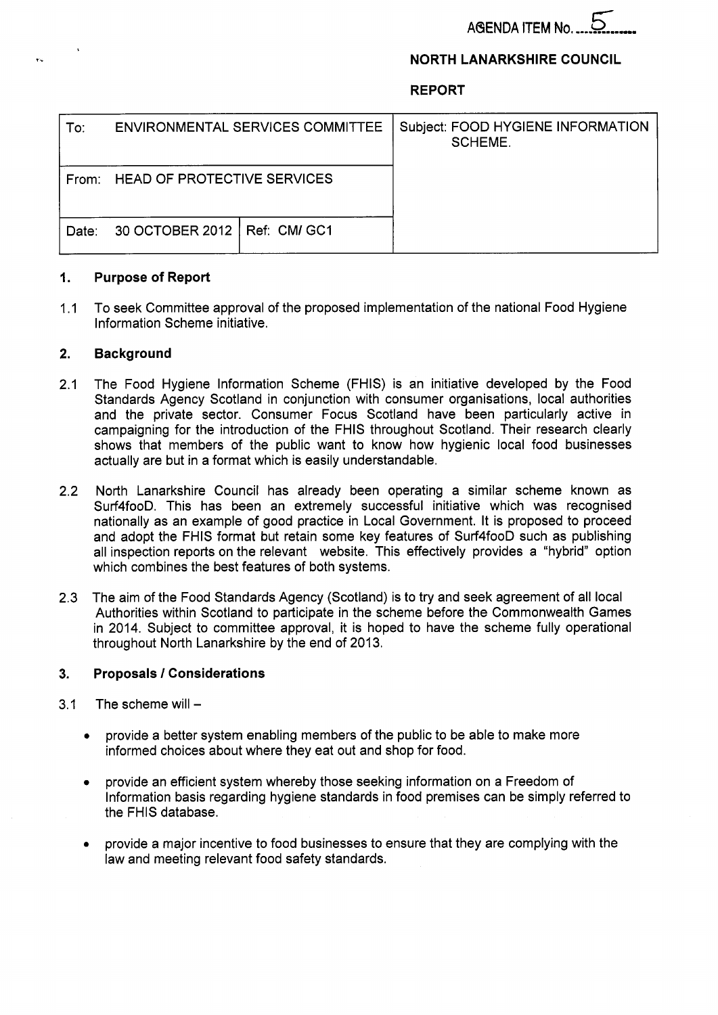# **NORTH LANARKSHIRE COUNCIL**

**REPORT** 

| To∶   | <b>ENVIRONMENTAL SERVICES COMMITTEE</b> |  | Subject: FOOD HYGIENE INFORMATION<br><b>SCHEME.</b> |
|-------|-----------------------------------------|--|-----------------------------------------------------|
| From: | <b>HEAD OF PROTECTIVE SERVICES</b>      |  |                                                     |
| Date: | 30 OCTOBER 2012   Ref: CM/ GC1          |  |                                                     |

#### **1. Purpose of Report**

1.1 To seek Committee approval of the proposed implementation of the national Food Hygiene Information Scheme initiative.

# **2. Background**

- 2.1 The Food Hygiene Information Scheme (FHIS) is an initiative developed by the Food Standards Agency Scotland in conjunction with consumer organisations, local authorities and the private sector. Consumer Focus Scotland have been particularly active in campaigning for the introduction of the FHlS throughout Scotland. Their research clearly shows that members of the public want to know how hygienic local food businesses actually are but in a format which is easily understandable.
- 2.2 North Lanarkshire Council has already been operating a similar scheme known as Surf4fooD. This has been an extremely successful initiative which was recognised nationally as an example of good practice in Local Government. It is proposed to proceed and adopt the FHlS format but retain some key features of Surf4fooD such as publishing all inspection reports on the relevant website. This effectively provides a "hybrid" option which combines the best features of both systems.
- 2.3 The aim of the Food Standards Agency (Scotland) is to try and seek agreement of all local Authorities within Scotland to participate in the scheme before the Commonwealth Games in 2014. Subject to committee approval, it is hoped to have the scheme fully operational throughout North Lanarkshire by the end of 2013.

# **3. Proposals** *I* **Considerations**

- 3.1 The scheme will  $-$ 
	- *0* provide a better system enabling members of the public to be able to make more informed choices about where they eat out and shop for food.
	- provide an efficient system whereby those seeking information on a Freedom of  $\bullet$ Information basis regarding hygiene standards in food premises can be simply referred to the FHlS database.
	- *0* provide a major incentive to food businesses to ensure that they are complying with the law and meeting relevant food safety standards.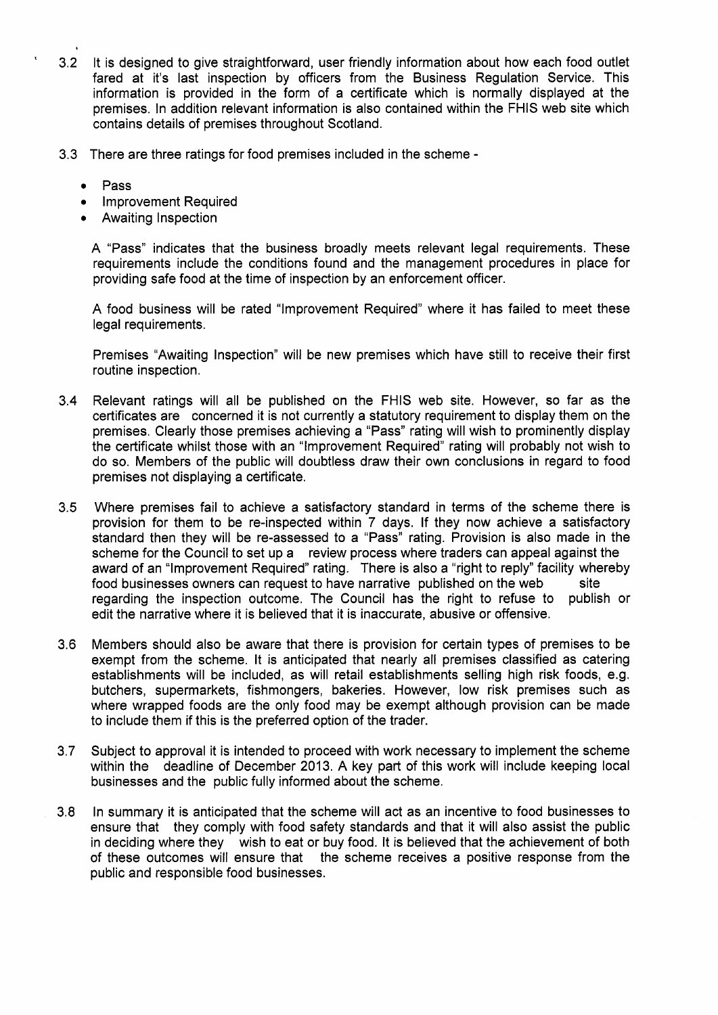- ' 3.2 It is designed to give straightforward, user friendly information about how each food outlet fared at it's last inspection by officers from the Business Regulation Service. This information is provided in the form of a certificate which is normally displayed at the premises. In addition relevant information is also contained within the FHlS web site which contains details of premises throughout Scotland.
- 3.3 There are three ratings for food premises included in the scheme
	- *<sup>0</sup>*Pass
	- *<sup>0</sup>*Improvement Required
	- **•** Awaiting Inspection

A "Pass" indicates that the business broadly meets relevant legal requirements. These requirements include the conditions found and the management procedures in place for providing safe food at the time of inspection by an enforcement officer.

**A** food business will be rated "Improvement Required" where it has failed to meet these legal requirements.

Premises "Awaiting Inspection" will be new premises which have still to receive their first routine inspection.

- 3.4 Relevant ratings will all be published on the FHlS web site. However, so far as the certificates are concerned it is not currently a statutory requirement to display them on the premises. Clearly those premises achieving a "Pass" rating will wish to prominently display the certificate whilst those with an "Improvement Required" rating will probably not wish to do so. Members of the public will doubtless draw their own conclusions in regard to food premises not displaying a certificate.
- 3.5 Where premises fail to achieve a satisfactory standard in terms of the scheme there is provision for them to be re-inspected within 7 days. If they now achieve a satisfactory standard then they will be re-assessed to a "Pass" rating. Provision is also made in the scheme for the Council to set up a review process where traders can appeal against the award of an "Improvement Required" rating. There is also a "right to reply" facility whereby food businesses owners can request to have narrative published on the web regarding the inspection outcome. The Council has the right to refuse to publish or edit the narrative where it is believed that it is inaccurate, abusive or offensive. site
- 3.6 Members should also be aware that there is provision for certain types of premises to be exempt from the scheme. It is anticipated that nearly all premises classified as catering establishments will be included, as will retail establishments selling high risk foods, e.g. butchers, supermarkets, fishmongers, bakeries. However, low risk premises such as where wrapped foods are the only food may be exempt although provision can be made to include them if this is the preferred option of the trader.
- 3.7 Subject to approval it is intended to proceed with work necessary to implement the scheme within the deadline of December 2013. A key part of this work will include keeping local businesses and the public fully informed about the scheme.
- 3.8 In summary it is anticipated that the scheme will act as an incentive to food businesses to ensure that they comply with food safety standards and that it will also assist the public in deciding where they wish to eat or buy food. It is believed that the achievement of both of these outcomes will ensure that the scheme receives a positive response from the public and responsible food businesses.